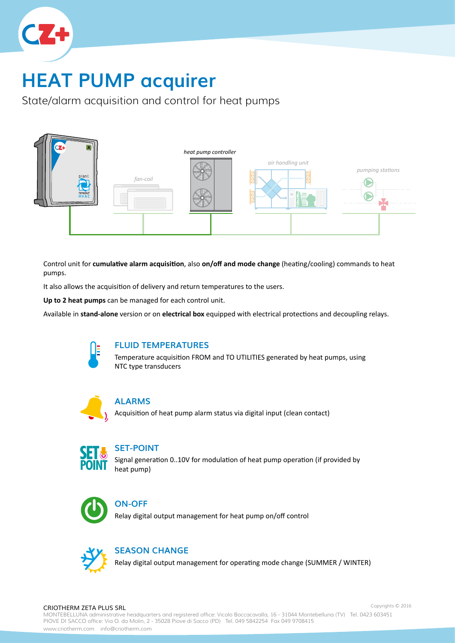

# **HEAT PUMP acquirer**

State/alarm acquisition and control for heat pumps



Control unit for **cumulative alarm acquisition**, also **on/off and mode change** (heating/cooling) commands to heat pumps.

It also allows the acquisition of delivery and return temperatures to the users.

**Up to 2 heat pumps** can be managed for each control unit.

Available in **stand-alone** version or on **electrical box** equipped with electrical protections and decoupling relays.



#### **FLUID TEMPERATURES**

Temperature acquisition FROM and TO UTILITIES generated by heat pumps, using NTC type transducers



#### **ALARMS**

Acquisition of heat pump alarm status via digital input (clean contact)



#### **SET-POINT**

Signal generation 0..10V for modulation of heat pump operation (if provided by heat pump)



#### **ON-OFF**

Relay digital output management for heat pump on/off control



#### **SEASON CHANGE**

Relay digital output management for operating mode change (SUMMER / WINTER)

#### CRIOTHERM ZETA PLUS SRL

MONTEBELLUNA administrative headquarters and registered office: Vicolo Boccacavalla, 16 - 31044 Montebelluna (TV) Tel. 0423 603451 PIOVE DI SACCO office: Via O. da Molin, 2 - 35028 Piove di Sacco (PD) Tel. 049 5842254 Fax 049 9708415 www.criotherm.com info@criotherm.com